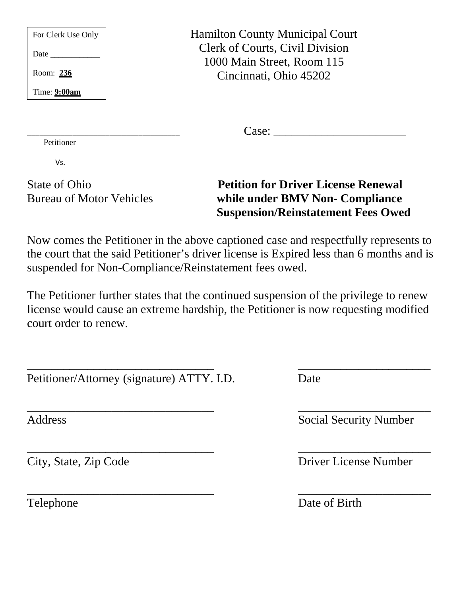| For Clerk Use Only | <b>Hamilton County Municipal Court</b> |
|--------------------|----------------------------------------|
| <b>Date</b>        | Clerk of Courts, Civil Division        |
|                    | 1000 Main Street, Room 115             |
| Room: 236          | Cincinnati, Ohio 45202                 |
| Time: $9:00am$     |                                        |
|                    |                                        |

\_\_\_\_\_\_\_\_\_\_\_\_\_\_\_\_\_\_\_\_\_\_\_\_\_\_\_\_\_\_\_\_\_\_\_\_\_ Case: \_\_\_\_\_\_\_\_\_\_\_\_\_\_\_\_\_\_\_\_\_\_ Petitioner

Vs.

### State of Ohio **Petition for Driver License Renewal**  Bureau of Motor Vehicles **while under BMV Non- Compliance Suspension/Reinstatement Fees Owed**

Now comes the Petitioner in the above captioned case and respectfully represents to the court that the said Petitioner's driver license is Expired less than 6 months and is suspended for Non-Compliance/Reinstatement fees owed.

The Petitioner further states that the continued suspension of the privilege to renew license would cause an extreme hardship, the Petitioner is now requesting modified court order to renew.

\_\_\_\_\_\_\_\_\_\_\_\_\_\_\_\_\_\_\_\_\_\_\_\_\_\_\_\_\_\_\_ \_\_\_\_\_\_\_\_\_\_\_\_\_\_\_\_\_\_\_\_\_\_

\_\_\_\_\_\_\_\_\_\_\_\_\_\_\_\_\_\_\_\_\_\_\_\_\_\_\_\_\_\_\_ \_\_\_\_\_\_\_\_\_\_\_\_\_\_\_\_\_\_\_\_\_\_ Petitioner/Attorney (signature) ATTY. I.D. Date

\_\_\_\_\_\_\_\_\_\_\_\_\_\_\_\_\_\_\_\_\_\_\_\_\_\_\_\_\_\_\_ \_\_\_\_\_\_\_\_\_\_\_\_\_\_\_\_\_\_\_\_\_\_ Address Social Security Number

City, State, Zip Code Driver License Number

\_\_\_\_\_\_\_\_\_\_\_\_\_\_\_\_\_\_\_\_\_\_\_\_\_\_\_\_\_\_\_ \_\_\_\_\_\_\_\_\_\_\_\_\_\_\_\_\_\_\_\_\_\_ Telephone Date of Birth